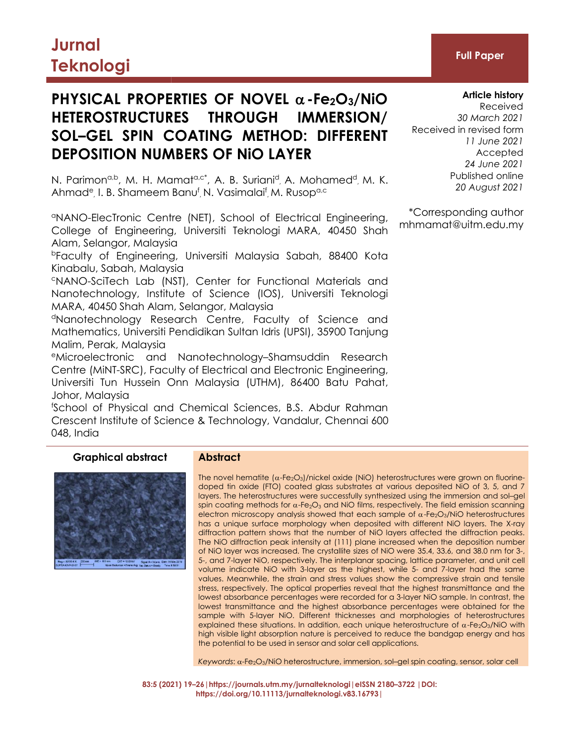# **Jurnal Teknologi Full Paper**

# **PHYSICAL PROPERTIES OF NOVEL**  $\alpha$ -Fe<sub>2</sub>O<sub>3</sub>/NiO **HETEROSTRUCTURES THROUGH IMMERSION/ SOL–GEL SPIN COATING METHOD: DIFFERENT DEPOSITION NUMBERS OF NiO LAYER**

N. Parimon<sup>a,b</sup>, M. H. Mamat<sup>a,c\*</sup>, A. B. Suriani<sup>d</sup>, A. Mohamed<sup>d</sup>, M. K. <sup>Publishe</sup> Ahmad<sup>e</sup>, I. B. Shameem Banu<sup>f</sup>, N. Vasimalai<sup>f</sup>, M. Rusop<sup>a,c</sup>

<sup>a</sup>NANO-ElecTronic Centre (NET), School of Electrical Engineering, College of Engineering, Universiti Teknologi MARA, 40450 Shah Alam, Selangor, Malaysia

<sup>b</sup>Faculty of Engineering, Universiti Malaysia Sabah, 88400 Kota Kinabalu, Sabah, Malaysia

<sup>c</sup>NANO-SciTech Lab (NST), Center for Functional Materials and Nanotechnology, Institute of Science (IOS), Universiti Teknologi MARA, 40450 Shah Alam, Selangor, Malaysia

<sup>d</sup>Nanotechnology Research Centre, Faculty of Science and Mathematics, Universiti Pendidikan Sultan Idris (UPSI), 35900 Tanjung Malim, Perak, Malaysia

<sup>e</sup>Microelectronic and Nanotechnology–Shamsuddin Research Centre (MiNT-SRC), Faculty of Electrical and Electronic Engineering, Universiti Tun Hussein Onn Malaysia (UTHM), 86400 Batu Pahat, Johor, Malaysia

<sup>f</sup>School of Physical and Chemical Sciences, B.S. Abdur Rahman Crescent Institute of Science & Technology, Vandalur, Chennai 600 048, India

# **Graphical abstract Abstract**



The novel hematite  $(\alpha$ -Fe<sub>2</sub>O<sub>3</sub>)/nickel oxide (NiO) heterostructures were grown on fluorinedoped tin oxide (FTO) coated glass substrates at various deposited NiO of 3, 5, and 7 layers. The heterostructures were successfully synthesized using the immersion and sol–gel spin coating methods for  $\alpha$ -Fe<sub>2</sub>O<sub>3</sub> and NiO films, respectively. The field emission scanning electron microscopy analysis showed that each sample of  $\alpha$ -Fe<sub>2</sub>O<sub>3</sub>/NiO heterostructures has a unique surface morphology when deposited with different NiO layers. The X-ray diffraction pattern shows that the number of NiO layers affected the diffraction peaks. The NiO diffraction peak intensity at (111) plane increased when the deposition number of NiO layer was increased. The crystallite sizes of NiO were 35.4, 33.6, and 38.0 nm for 3-, 5-, and 7-layer NiO, respectively. The interplanar spacing, lattice parameter, and unit cell volume indicate NiO with 3-layer as the highest, while 5- and 7-layer had the same values. Meanwhile, the strain and stress values show the compressive strain and tensile stress, respectively. The optical properties reveal that the highest transmittance and the lowest absorbance percentages were recorded for a 3-layer NiO sample. In contrast, the lowest transmittance and the highest absorbance percentages were obtained for the sample with 5-layer NiO. Different thicknesses and morphologies of heterostructures explained these situations. In addition, each unique heterostructure of  $\alpha$ -Fe<sub>2</sub>O<sub>3</sub>/NiO with high visible light absorption nature is perceived to reduce the bandgap energy and has the potential to be used in sensor and solar cell applications.

Keywords: α-Fe<sub>2</sub>O<sub>3</sub>/NiO heterostructure, immersion, sol-gel spin coating, sensor, solar cell

**83:5 (2021) 19–26|https://journals.utm.my/jurnalteknologi|eISSN 2180–3722 |DOI: https://doi.org/10.11113/jurnalteknologi.v83.16793|**

# **Article history**

Received *30 March 2021* Received in revised form *11 June 2021* Accepted *24 June 2021* Published online *20 August 2021*

\*Corresponding author mhmamat@uitm.edu.my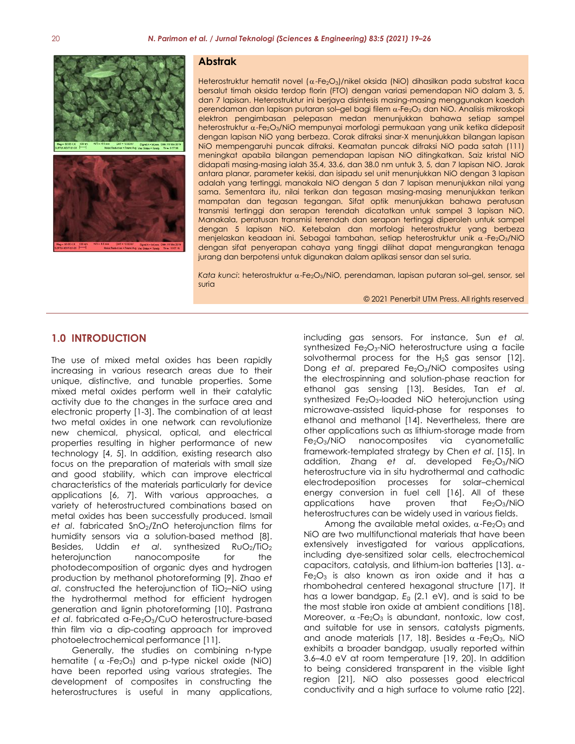

#### **Abstrak**

Heterostruktur hematit novel  $(\alpha$ -Fe<sub>2</sub>O<sub>3</sub>)/nikel oksida (NiO) dihasilkan pada substrat kaca bersalut timah oksida terdop florin (FTO) dengan variasi pemendapan NiO dalam 3, 5, dan 7 lapisan. Heterostruktur ini berjaya disintesis masing-masing menggunakan kaedah perendaman dan lapisan putaran sol-gel bagi filem  $\alpha$ -Fe2O3 dan NiO. Analisis mikroskopi elektron pengimbasan pelepasan medan menunjukkan bahawa setiap sampel heterostruktur  $\alpha$ -Fe<sub>2</sub>O<sub>3</sub>/NiO mempunyai morfologi permukaan yang unik ketika dideposit dengan lapisan NiO yang berbeza. Corak difraksi sinar-X menunjukkan bilangan lapisan NiO mempengaruhi puncak difraksi. Keamatan puncak difraksi NiO pada satah (111) meningkat apabila bilangan pemendapan lapisan NiO ditingkatkan. Saiz kristal NiO didapati masing-masing ialah 35.4, 33.6, dan 38.0 nm untuk 3, 5, dan 7 lapisan NiO. Jarak antara planar, parameter kekisi, dan isipadu sel unit menunjukkan NiO dengan 3 lapisan adalah yang tertinggi, manakala NiO dengan 5 dan 7 lapisan menunjukkan nilai yang sama. Sementara itu, nilai terikan dan tegasan masing-masing menunjukkan terikan mampatan dan tegasan tegangan. Sifat optik menunjukkan bahawa peratusan transmisi tertinggi dan serapan terendah dicatatkan untuk sampel 3 lapisan NiO. Manakala, peratusan transmisi terendah dan serapan tertinggi diperoleh untuk sampel dengan 5 lapisan NiO. Ketebalan dan morfologi heterostruktur yang berbeza menjelaskan keadaan ini. Sebagai tambahan, setiap heterostruktur unik  $\alpha$ -Fe<sub>2</sub>O<sub>3</sub>/NiO dengan sifat penyerapan cahaya yang tinggi dilihat dapat mengurangkan tenaga jurang dan berpotensi untuk digunakan dalam aplikasi sensor dan sel suria.

*Kata kunci: heterostruktur α-Fe<sub>2</sub>O<sub>3</sub>/NiO, perendaman, lapisan putaran sol-gel, sensor, sel* suria

© 2021 Penerbit UTM Press. All rights reserved

## **1.0 INTRODUCTION**

The use of mixed metal oxides has been rapidly increasing in various research areas due to their unique, distinctive, and tunable properties. Some mixed metal oxides perform well in their catalytic activity due to the changes in the surface area and electronic property [1-3]. The combination of at least two metal oxides in one network can revolutionize new chemical, physical, optical, and electrical properties resulting in higher performance of new technology [4, 5]. In addition, existing research also focus on the preparation of materials with small size and good stability, which can improve electrical characteristics of the materials particularly for device applications [6, 7]. With various approaches, a variety of heterostructured combinations based on applications have proven that te2O3/NiC<br>metal oxides has been successfully produced Ismail beterostructures.can.be widely used in various fields. metal oxides has been successfully produced. Ismail et *al*. fabricated SnO<sub>2</sub>/ZnO heterojunction films for humidity sensors via a solution-based method [8]. Besides, Uddin *et al*. synthesized RuO2/TiO<sup>2</sup> heterojunction nanocomposite for the photodecomposition of organic dyes and hydrogen production by methanol photoreforming [9]. Zhao *et al*. constructed the heterojunction of TiO2–NiO using the hydrothermal method for efficient hydrogen generation and lignin photoreforming [10]. Pastrana et *al*. fabricated α-Fe<sub>2</sub>O<sub>3</sub>/CuO heterostructure-based thin film via a dip-coating approach for improved photoelectrochemical performance [11].

Generally, the studies on combining n-type hematite ( $\alpha$ -Fe<sub>2</sub>O<sub>3</sub>) and p-type nickel oxide (NiO) have been reported using various strategies. The development of composites in constructing the heterostructures is useful in many applications, including gas sensors. For instance, Sun *et al.* synthesized  $Fe<sub>2</sub>O<sub>3</sub>$ -NiO heterostructure using a facile solvothermal process for the  $H_2S$  gas sensor [12]. Dong *et al.* prepared Fe<sub>2</sub>O<sub>3</sub>/NiO composites using the electrospinning and solution-phase reaction for ethanol gas sensing [13]. Besides, Tan *et al*. synthesized Fe<sub>2</sub>O<sub>3</sub>-loaded NiO heterojunction using microwave-assisted liquid-phase for responses to ethanol and methanol [14]. Nevertheless, there are other applications such as lithium-storage made from Fe2O3/NiO nanocomposites via cyanometallic framework-templated strategy by Chen *et al*. [15]. In addition, Zhang et al. developed Fe<sub>2</sub>O<sub>3</sub>/NiO heterostructure via in situ hydrothermal and cathodic electrodeposition processes for solar–chemical energy conversion in fuel cell [16]. All of these applications have proven that  $Fe<sub>2</sub>O<sub>3</sub>/NiO$ 

Among the available metal oxides,  $\alpha$ -Fe<sub>2</sub>O<sub>3</sub> and NiO are two multifunctional materials that have been extensively investigated for various applications, including dye-sensitized solar cells, electrochemical capacitors, catalysis, and lithium-ion batteries [13].  $\alpha$ - $Fe<sub>2</sub>O<sub>3</sub>$  is also known as iron oxide and it has a rhombohedral centered hexagonal structure [17]. It has a lower bandgap, *E*<sup>g</sup> (2.1 eV), and is said to be the most stable iron oxide at ambient conditions [18]. Moreover,  $\alpha$ -Fe<sub>2</sub>O<sub>3</sub> is abundant, nontoxic, low cost, and suitable for use in sensors, catalysts pigments, and anode materials [17, 18]. Besides  $\alpha$ -Fe<sub>2</sub>O<sub>3</sub>, NiO exhibits a broader bandgap, usually reported within 3.6–4.0 eV at room temperature [19, 20]. In addition to being considered transparent in the visible light region [21], NiO also possesses good electrical conductivity and a high surface to volume ratio [22].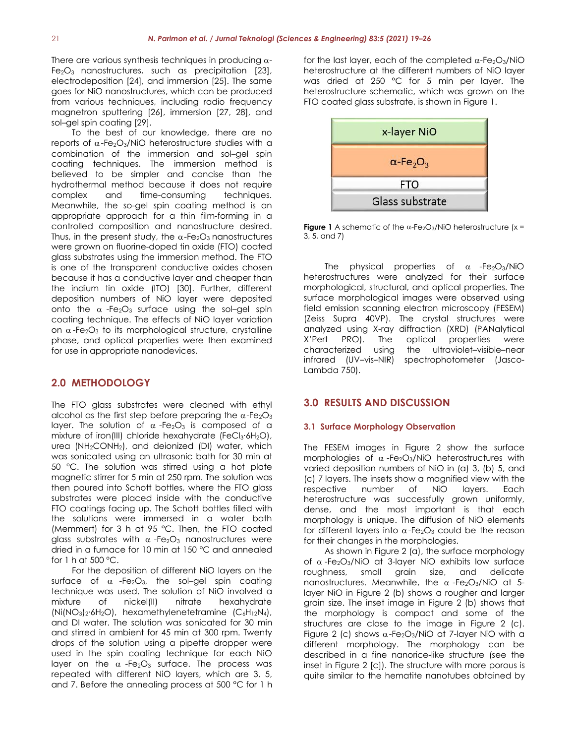There are various synthesis techniques in producing  $\alpha$ -Fe2O<sup>3</sup> nanostructures, such as precipitation [23], electrodeposition [24], and immersion [25]. The same goes for NiO nanostructures, which can be produced from various techniques, including radio frequency magnetron sputtering [26], immersion [27, 28], and sol–gel spin coating [29].

To the best of our knowledge, there are no reports of  $\alpha$ -Fe<sub>2</sub>O<sub>3</sub>/NiO heterostructure studies with a combination of the immersion and sol–gel spin coating techniques. The immersion method is believed to be simpler and concise than the hydrothermal method because it does not require complex and time-consuming techniques. Meanwhile, the so-gel spin coating method is an appropriate approach for a thin film-forming in a controlled composition and nanostructure desired. Thus, in the present study, the  $\alpha$ -Fe<sub>2</sub>O<sub>3</sub> nanostructures were grown on fluorine-doped tin oxide (FTO) coated glass substrates using the immersion method. The FTO is one of the transparent conductive oxides chosen because it has a conductive layer and cheaper than the indium tin oxide (ITO) [30]. Further, different deposition numbers of NiO layer were deposited onto the  $\alpha$ -Fe<sub>2</sub>O<sub>3</sub> surface using the sol-gel spin coating technique. The effects of NiO layer variation on  $\alpha$ -Fe<sub>2</sub>O<sub>3</sub> to its morphological structure, crystalline analyzed using X-ray<br>phase, and optical properties were then examined  $X'$ Pert PRO). The phase, and optical properties were then examined for use in appropriate nanodevices.

# **2.0 METHODOLOGY**

The FTO glass substrates were cleaned with ethyl alcohol as the first step before preparing the  $\alpha$ -Fe<sub>2</sub>O<sub>3</sub> layer. The solution of  $\alpha$ -Fe<sub>2</sub>O<sub>3</sub> is composed of a mixture of iron(III) chloride hexahydrate (FeCl<sub>3</sub>⋅6H<sub>2</sub>O), urea (NH<sub>2</sub>CONH<sub>2</sub>), and deionized (DI) water, which was sonicated using an ultrasonic bath for 30 min at 50 °C. The solution was stirred using a hot plate magnetic stirrer for 5 min at 250 rpm. The solution was then poured into Schott bottles, where the FTO glass substrates were placed inside with the conductive FTO coatings facing up. The Schott bottles filled with the solutionswere immersed in a water bath (Memmert) for 3 h at 95 °C. Then, the FTO coated glass substrates with  $\alpha$ -Fe<sub>2</sub>O<sub>3</sub> nanostructures were dried in a furnace for 10 min at 150 °C and annealed for 1 h at 500 °C.

For the deposition of different NiO layers on the roughness, surface of  $\alpha$  -Fe<sub>2</sub>O<sub>3</sub>, the sol-gel spin coating technique was used. The solution of NiO involved a (Ni(NO3)2∙6H2O), hexamethylenetetramine (C6H12N4), and DI water. The solution was sonicated for 30 min and stirred in ambient for 45 min at 300 rpm. Twenty drops of the solution using a pipette dropper were used in the spin coating technique for each NiO layer on the  $\alpha$ -Fe<sub>2</sub>O<sub>3</sub> surface. The process was repeated with different NiO layers, which are 3, 5, and 7. Before the annealing process at 500 °C for 1 h

for the last layer, each of the completed  $\alpha$ -Fe<sub>2</sub>O<sub>3</sub>/NiO heterostructure at the different numbers of NiO layer was dried at 250 °C for 5 min per layer. The heterostructure schematic, which was grown on the FTO coated glass substrate, is shown in Figure 1.



**Figure** 1 A schematic of the  $\alpha$ -Fe<sub>2</sub>O<sub>3</sub>/NiO heterostructure (x = 3, 5, and 7)

physical properties of  $\alpha$  -Fe<sub>2</sub>O<sub>3</sub>/NiO heterostructures were analyzed for their surface morphological, structural, and optical properties. The surface morphological images were observed using field emission scanning electron microscopy (FESEM) (Zeiss Supra 40VP). The crystal structures were analyzed using X-ray diffraction (XRD) (PANalytical optical properties were characterized using the ultraviolet–visible–near infrared (UV–vis–NIR) spectrophotometer (Jasco- Lambda 750).

## **3.0 RESULTS AND DISCUSSION**

#### **3.1 Surface Morphology Observation**

The FESEM images in Figure 2 show the surface morphologies of  $\alpha$ -Fe<sub>2</sub>O<sub>3</sub>/NiO heterostructures with varied deposition numbers of NiO in (a) 3, (b) 5, and (c) 7 layers. The insets show a magnified view with the respective number of NiO layers. Each heterostructure was successfully grown uniformly, dense, and the most important is that each morphology is unique. The diffusion of NiO elements for different layers into  $\alpha$ -Fe<sub>2</sub>O<sub>3</sub> could be the reason for their changes in the morphologies.

mixture of nickel(II) nitrate hexahydrate grain size. The inset image in Figure 2 (b) shows that As shown in Figure 2 (a), the surface morphology of  $\alpha$ -Fe<sub>2</sub>O<sub>3</sub>/NiO at 3-layer NiO exhibits low surface small grain size, and delicate nanostructures. Meanwhile, the  $\alpha$ -Fe<sub>2</sub>O<sub>3</sub>/NiO at 5layer NiO in Figure 2 (b) shows a rougher and larger the morphology is compact and some of the structures are close to the image in Figure 2 (c). Figure 2 (c) shows  $\alpha$ -Fe<sub>2</sub>O<sub>3</sub>/NiO at 7-layer NiO with a different morphology. The morphology can be described in a fine nanorice-like structure (see the inset in Figure 2 [c]). The structure with more porous is quite similar to the hematite nanotubes obtained by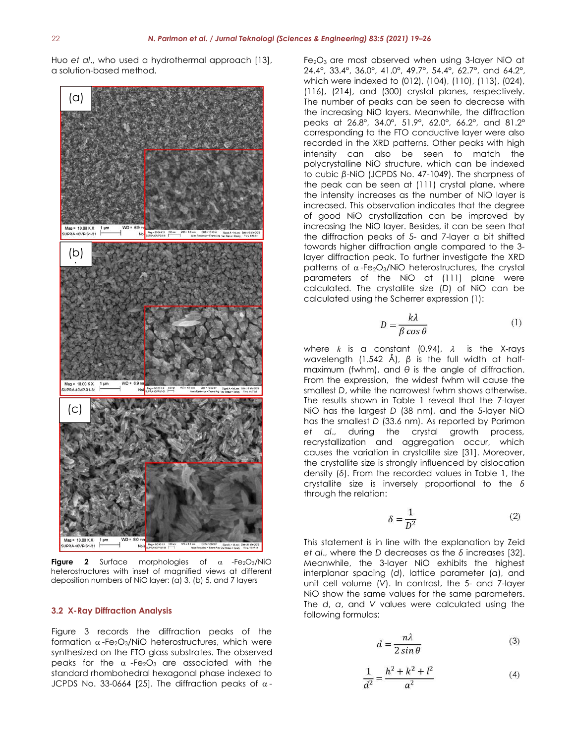Huo *et al*., who used a hydrothermal approach [13], a solution-based method.



**Figure 2** Surface morphologies of  $\alpha$  -Fe<sub>2</sub>O<sub>3</sub>/NiO heterostructures with inset of magnified views at different deposition numbers of NiO layer: (a) 3, (b) 5, and 7 layers

#### **3.2 X-Ray Diffraction Analysis**

Figure 3 records the diffraction peaks of the formation  $\alpha$ -Fe<sub>2</sub>O<sub>3</sub>/NiO heterostructures, which were synthesized on the FTO glass substrates. The observed peaks for the  $\alpha$ -Fe<sub>2</sub>O<sub>3</sub> are associated with the standard rhombohedral hexagonal phase indexed to JCPDS No. 33-0664 [25]. The diffraction peaks of  $\alpha$ - Fe2O<sup>3</sup> are most observed when using 3-layer NiO at 24.4°, 33.4°, 36.0°, 41.0°, 49.7°, 54.4°, 62.7°, and 64.2°, which were indexed to (012), (104), (110), (113), (024), (116), (214), and (300) crystal planes, respectively. The number of peaks can be seen to decrease with the increasing NiO layers. Meanwhile, the diffraction peaks at 26.8°, 34.0°, 51.9°, 62.0°, 66.2°, and 81.2° corresponding to the FTO conductive layer were also recorded in the XRD patterns. Other peaks with high intensity can also be seen to match the polycrystalline NiO structure, which can be indexed to cubic β-NiO (JCPDS No. 47-1049). The sharpness of the peak can be seen at  $(111)$  crystal plane, where the intensity increases as the number of NiO layer is increased. This observation indicates that the degree of good NiO crystallization can be improved by increasing the NiO layer. Besides, it can be seen that the diffraction peaks of 5- and 7-layer a bit shifted towards higher diffraction angle compared to the 3 layer diffraction peak. To further investigate the XRD patterns of  $\alpha$ -Fe<sub>2</sub>O<sub>3</sub>/NiO heterostructures, the crystal parameters of the NiO at (111) plane were calculated. The crystallite size (*D*) of NiO can be calculated using the Scherrer expression (1):

$$
D = \frac{k\lambda}{\beta \cos \theta} \tag{1}
$$

where  $k$  is a constant (0.94),  $\lambda$  is the X-rays wavelength (1.542 Å), *β* is the full width at half maximum (fwhm), and *θ* is the angle of diffraction. From the expression, the widest fwhm will cause the smallest *D*, while the narrowest fwhm shows otherwise. The results shown in Table 1 reveal that the 7-layer NiO has the largest *D* (38 nm), and the 5-layer NiO has the smallest *D* (33.6 nm). As reported by Parimon *et al*., during the crystal growth process, recrystallization and aggregation occur, which causes the variation in crystallite size [31]. Moreover, the crystallite size is strongly influenced by dislocation density (*δ*). From the recorded values in Table 1, the crystallite size is inversely proportional to the *δ* through the relation:

$$
\delta = \frac{1}{D^2} \tag{2}
$$

This statement is in line with the explanation by Zeid *et al.*, where the *D* decreases as the *δ* increases [32]. Meanwhile, the 3-layer NiO exhibits the highest interplanar spacing (*d*), lattice parameter (*a*), and unit cell volume (*V*). In contrast, the 5- and 7-layer NiO show the same values for the same parameters. The *d*, *a*, and *V* values were calculated using the following formulas:

$$
d = \frac{n\lambda}{2\sin\theta} \tag{3}
$$

$$
\frac{1}{d^2} = \frac{h^2 + k^2 + l^2}{a^2} \tag{4}
$$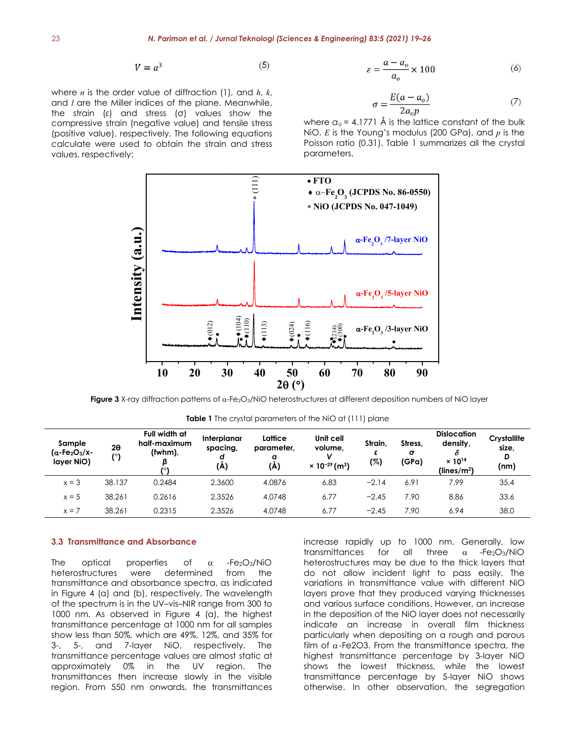$$
V = a^3 \tag{5}
$$

where *n* is the order value of diffraction (1), and *h*, *k*, and *l* are the Miller indices of the plane. Meanwhile, the strain (*ε*) and stress (σ) values show the compressive strain (negative value) and tensile stress (positive value), respectively. The following equations calculate were used to obtain the strain and stress values, respectively:

$$
\varepsilon = \frac{a - a_o}{a_o} \times 100\tag{6}
$$

$$
\sigma = \frac{E(a - a_o)}{2a_o p} \tag{7}
$$

where  $a_0 = 4.1771$  Å is the lattice constant of the bulk NiO, *E* is the Young's modulus (200 GPa), and *p* is the Poisson ratio (0.31). Table 1 summarizes all the crystal parameters.



**Figure 3** X-ray diffraction patterns of  $\alpha$ -Fe<sub>2</sub>O<sub>3</sub>/NiO heterostructures at different deposition numbers of NiO layer

**Table 1** The crystal parameters of the NiO at (111) plane

| Sample<br>$(\alpha$ -Fe <sub>2</sub> O <sub>3</sub> /x-<br>layer NiO) | $2\theta$<br>(°) | Full width at<br>half-maximum<br>$(fwhm)$ ,<br>701 | Interplanar<br>spacing,<br>d<br>(A) | Lattice<br>parameter,<br>a<br>(A) | Unit cell<br>volume,<br>v<br>$\times$ 10 <sup>-29</sup> (m <sup>3</sup> ) | Strain,<br>(%) | Stress,<br>$\sigma$<br>(GPa) | <b>Dislocation</b><br>density,<br>ο<br>$\times 10^{14}$<br>(lines/m <sup>2</sup> ) | Crystallite<br>size,<br>D<br>(nm) |
|-----------------------------------------------------------------------|------------------|----------------------------------------------------|-------------------------------------|-----------------------------------|---------------------------------------------------------------------------|----------------|------------------------------|------------------------------------------------------------------------------------|-----------------------------------|
| $x = 3$                                                               | 38.137           | 0.2484                                             | 2.3600                              | 4.0876                            | 6.83                                                                      | $-2.14$        | 6.91                         | 7.99                                                                               | 35.4                              |
| $x = 5$                                                               | 38.261           | 0.2616                                             | 2.3526                              | 4.0748                            | 6.77                                                                      | $-2.45$        | 7.90                         | 8.86                                                                               | 33.6                              |
| $x = 7$                                                               | 38.261           | 0.2315                                             | 2.3526                              | 4.0748                            | 6.77                                                                      | $-2.45$        | 7.90                         | 6.94                                                                               | 38.0                              |

#### **3.3 Transmittance and Absorbance**

transmittance and absorbance spectra, as indicated in Figure 4 (a) and (b), respectively. The wavelength of the spectrum is in the UV–vis–NIR range from 300 to 1000 nm. As observed in Figure 4 (a), the highest transmittance percentage at 1000 nm for all samples show less than 50%, which are 49%, 12%, and 35% for 3-, 5-, and 7-layer NiO, respectively. The transmittance percentage values are almost static at approximately 0% in the UV region. The transmittances then increase slowly in the visible region. From 550 nm onwards, the transmittances

The optical properties of  $\alpha$  -Fe2O3/NiO heterostructures may be due to the thick-layers that heterostructures were determined from the do not allow incident light to pass easily. The increase rapidly up to 1000 nm. Generally, low transmittances for all three  $\alpha$  -Fe<sub>2</sub>O<sub>3</sub>/NiO variations in transmittance value with different NiO layers prove that they produced varying thicknesses and various surface conditions. However, an increase in the deposition of the NiO layer does not necessarily indicate an increase in overall film thickness particularly when depositing on a rough and porous film of  $\alpha$ -Fe2O3. From the transmittance spectra, the highest transmittance percentage by 3-layer NiO shows the lowest thickness, while the lowest transmittance percentage by 5-layer NiO shows otherwise. In other observation, the segregation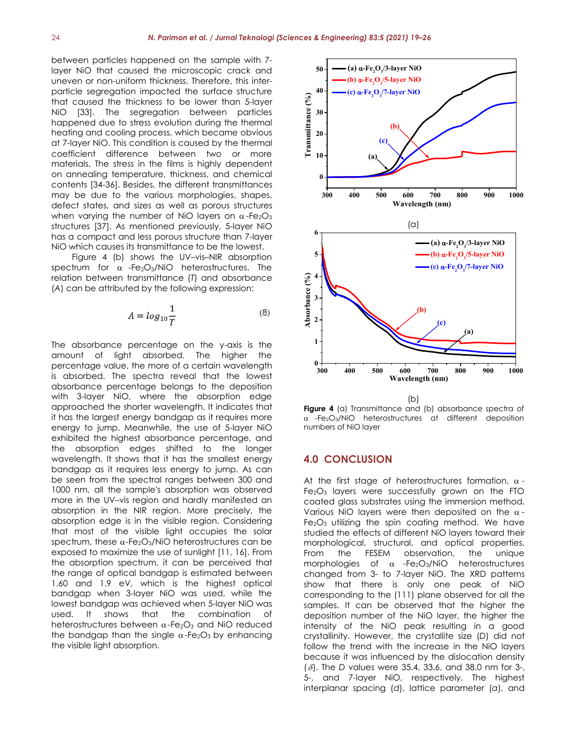between particles happened on the sample with 7-<br>layer NiO that caused the microscopic crack and 50 layer NiO that caused the microscopic crack and uneven or non-uniform thickness. Therefore, this inter particle segregation impacted the surface structure  $\sim$  40 that caused the thickness to be lower than 5-layer NiO [33]. The segregation between particles =  $\frac{9}{2}$  30 happened due to stress evolution during the thermal heating and cooling process, which became obvious at 7-layer NiO. This condition is caused by the thermal coefficient difference between two or more  $\ddot{F}$  10 materials. The stress in the films is highly dependent on annealing temperature, thickness, and chemical contents [34-36]. Besides, the different transmittances may be due to the various morphologies, shapes, defect states, and sizes as well as porous structures when varying the number of NiO layers on  $\alpha$ -Fe<sub>2</sub>O<sub>3</sub> structures [37]. As mentioned previously, 5-layer NiO has a compact and less porous structure than 7-layer NiO which causes its transmittance to be the lowest.<br>Figure 4 (b) shows the UV–vis–NIR absorption 5

spectrum for  $\alpha$  -Fe<sub>2</sub>O<sub>3</sub>/NiO heterostructures. The relation between transmittance (*T*) and absorbance (*A*) can be attributed by the following expression:

$$
A = \log_{10} \frac{1}{T} \tag{8}
$$

The absorbance percentage on the y-axis is the amount of light absorbed. The higher the percentage value, the more of a certain wavelength  $0 + 400$ is absorbed. The spectra reveal that the lowest absorbance percentage belongs to the deposition with 3-layer NiO, where the absorption edge approached the shorter wavelength. It indicates that it has the largest energy bandgap as it requires more energy to jump. Meanwhile, the use of 5-layer NiO exhibited the highest absorbance percentage, and the absorption edges shifted to the longer wavelength. It shows that it has the smallest energy bandgap as it requires less energy to jump. As can be seen from the spectral ranges between 300 and 1000 nm, all the sample's absorption was observed more in the UV–vis region and hardly manifested an absorption in the NIR region. More precisely, the absorption edge is in the visible region. Considering that most of the visible light occupies the solar spectrum, these  $\alpha$ -Fe<sub>2</sub>O<sub>3</sub>/NiO heterostructures can be exposed to maximize the use of sunlight [11, 16]. From the absorption spectrum, it can be perceived that the range of optical bandgap is estimated between 1.60 and 1.9 eV, which is the highest optical bandgap when 3-layer NiO was used, while the lowest bandgap was achieved when 5-layer NiO was used. It shows that the combination of heterostructures between  $\alpha$ -Fe<sub>2</sub>O<sub>3</sub> and NiO reduced the bandgap than the single  $\alpha$ -Fe<sub>2</sub>O<sub>3</sub> by enhancing the visible light absorption.



**Figure 4** (a) Transmittance and (b) absorbance spectra of  $\alpha$  -Fe<sub>2</sub>O<sub>3</sub>/NiO heterostructures at different deposition numbers of NiO layer

### **4.0 CONCLUSION**

At the first stage of heterostructures formation,  $\alpha$  -Fe<sub>2</sub>O<sub>3</sub> layers were successfully grown on the FTO coated glass substrates using the immersion method. Various NiO layers were then deposited on the  $\alpha$ - $Fe<sub>2</sub>O<sub>3</sub>$  utilizing the spin coating method. We have studied the effects of different NiO layers toward their morphological, structural, and optical properties. observation, the unique morphologies of  $\alpha$  -Fe<sub>2</sub>O<sub>3</sub>/NiO heterostructures changed from 3- to 7-layer NiO. The XRD patterns show that there is only one peak of NiO corresponding to the (111) plane observed for all the samples. It can be observed that the higher the deposition number of the NiO layer, the higher the intensity of the NiO peak resulting in a good crystallinity. However, the crystallite size (*D*) did not follow the trend with the increase in the NiO layers because it was influenced by the dislocation density (δ). The *D* values were 35.4, 33.6, and 38.0 nm for 3-, 5-, and 7-layer NiO, respectively. The highest interplanar spacing (*d*), lattice parameter (*a*), and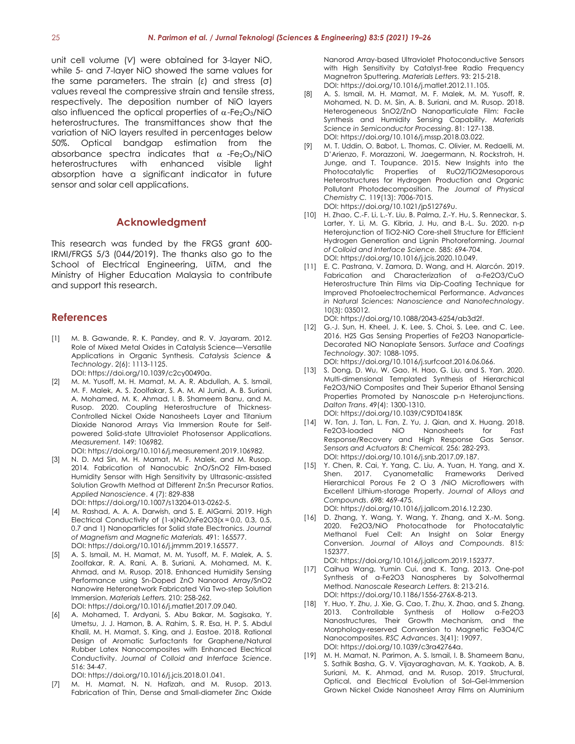unit cell volume (*V*) were obtained for 3-layer NiO, while 5- and 7-layer NiO showed the same values for the same parameters. The strain (*ε*) and stress (σ) values reveal the compressive strain and tensile stress, respectively. The deposition number of NiO layers also influenced the optical properties of  $\alpha$ -Fe<sub>2</sub>O<sub>3</sub>/NiO heterostructures. The transmittances show that the variation of NiO layers resulted in percentages below 50%. Optical bandgap estimation from the absorbance spectra indicates that  $\alpha$  -Fe<sub>2</sub>O<sub>3</sub>/NiO heterostructures with enhanced visible light absorption have a significant indicator in future sensor and solar cell applications.

## **Acknowledgment**

This research was funded by the FRGS grant 600- IRMI/FRGS 5/3 (044/2019). The thanks also go to the School of Electrical Engineering, UiTM, and the Ministry of Higher Education Malaysia to contribute and support this research.

#### **References**

- [1] M. B. Gawande, R. K. Pandey, and R. V. Jayaram.2012. Role of Mixed Metal Oxides in Catalysis Science—Versatile Applications in Organic Synthesis. *Catalysis Science & Technology*. 2(6): 1113-1125. DOI: https://doi.org/10.1039/c2cy00490a.
- [2] M. M. Yusoff, M. H. Mamat, M. A. R. Abdullah, A. S. Ismail, M. F. Malek, A. S. Zoolfakar, S. A. M. Al Junid, A. B. Suriani, A. Mohamed, M. K. Ahmad, I. B. Shameem Banu, and M. Rusop. 2020. Coupling Heterostructure of Thickness- Controlled Nickel Oxide Nanosheets Layer and Titanium Dioxide Nanorod Arrays Via Immersion Route for Self powered Solid-state Ultraviolet Photosensor Applications. *Measurement.* 149: 106982.
	- DOI: https://doi.org/10.1016/j.measurement.2019.106982.
- [3] N. D. Md Sin, M. H. Mamat, M. F. Malek, and M. Rusop. 2014. Fabrication of Nanocubic ZnO/SnO2 Film-based Humidity Sensor with High Sensitivity by Ultrasonic-assisted Solution Growth Method at Different Zn:Sn Precursor Ratios. *Applied Nanoscience*. 4 (7): 829-838 DOI: https://doi.org/10.1007/s13204-013-0262-5.
- [4] M. Rashad, A. A. A. Darwish, and S. E. AlGarni. 2019. High Electrical Conductivity of (1-x)NiO/xFe2O3(x = 0.0, 0.3, 0.5, 0.7 and 1) Nanoparticles for Solid state Electronics. *Journal of Magnetism and Magnetic Materials.* 491: 165577. DOI: https://doi.org/10.1016/j.jmmm.2019.165577.
- [5] A. S. Ismail, M. H. Mamat, M. M. Yusoff, M. F. Malek, A. S. Zoolfakar, R. A. Rani, A. B. Suriani, A. Mohamed, M. K. Ahmad, and M. Rusop. 2018. Enhanced Humidity Sensing Performance using Sn-Doped ZnO Nanorod Array/SnO2 Nanowire Heteronetwork Fabricated Via Two-step Solution Immersion. *Materials Letters.* 210: 258-262. DOI: https://doi.org/10.1016/j.matlet.2017.09.040.
- [6] A. Mohamed, T. Ardyani, S. Abu Bakar, M. Sagisaka, Y. Umetsu, J. J. Hamon, B. A. Rahim, S. R. Esa, H. P. S. Abdul Khalil, M. H. Mamat, S. King, and J. Eastoe. 2018. Rational Design of Aromatic Surfactants for Graphene/Natural Rubber Latex Nanocomposites with Enhanced Electrical Conductivity. *Journal of Colloid and Interface Science*. 516: 34-47.

DOI: https://doi.org/10.1016/j.jcis.2018.01.041.

[7] M. H. Mamat, N. N. Hafizah, and M. Rusop. 2013. Fabrication of Thin, Dense and Small-diameter Zinc Oxide Nanorod Array-based Ultraviolet Photoconductive Sensors with High Sensitivity by Catalyst-free Radio Frequency Magnetron Sputtering. *Materials Letters*. 93: 215-218. DOI: https://doi.org/10.1016/j.matlet.2012.11.105.

- A. S. Ismail, M. H. Mamat, M. F. Malek, M. M. Yusoff, R. Mohamed, N. D. M. Sin, A. B. Suriani, and M. Rusop. 2018. Heterogeneous SnO2/ZnO Nanoparticulate Film: Facile Synthesis and Humidity Sensing Capability. *Materials Science in Semiconductor Processing*. 81: 127-138. DOI: https://doi.org/10.1016/j.mssp.2018.03.022.
- [9] M. T. Uddin, O. Babot, L. Thomas, C. Olivier, M. Redaelli, M. D'Arienzo, F. Morazzoni, W. Jaegermann, N. Rockstroh, H. Junge, and T. Toupance. 2015. New Insights into the Photocatalytic Properties of RuO2/TiO2Mesoporous Heterostructures for Hydrogen Production and Organic Pollutant Photodecomposition. *The Journal of Physical Chemistry C.* 119(13): 7006-7015. DOI: https://doi.org/10.1021/jp512769u.
- [10] H. Zhao, C.-F. Li, L.-Y. Liu, B. Palma, Z.-Y. Hu, S. Renneckar, S. Larter, Y. Li, M. G. Kibria, J. Hu, and B.-L. Su. 2020. n-p Heterojunction of TiO2-NiO Core-shell Structure for Efficient Hydrogen Generation and Lignin Photoreforming. *Journal of Colloid and Interface Science.* 585: 694-704. DOI: https://doi.org/10.1016/j.jcis.2020.10.049.
- [11] E. C. Pastrana, V. Zamora, D. Wang, and H. Alarcón. 2019. Fabrication and Characterization of α-Fe2O3/CuO Heterostructure Thin Films via Dip-Coating Technique for Improved Photoelectrochemical Performance. *Advances in Natural Sciences: Nanoscience and Nanotechnology*. 10(3): 035012.

DOI: https://doi.org/10.1088/2043-6254/ab3d2f.

- [12] G.-J. Sun, H. Kheel, J. K. Lee, S. Choi, S. Lee, and C. Lee. 2016. H2S Gas Sensing Properties of Fe2O3 Nanoparticle-Decorated NiO Nanoplate Sensors. *Surface and Coatings Technology*. 307: 1088-1095. DOI: https://doi.org/10.1016/j.surfcoat.2016.06.066.
- [13] S. Dong, D. Wu, W. Gao, H. Hao, G. Liu, and S. Yan. 2020. Multi-dimensional Templated Synthesis of Hierarchical Fe2O3/NiO Composites and Their Superior Ethanol Sensing Properties Promoted by Nanoscale p-n Heterojunctions. *Dalton Trans*. 49(4): 1300-1310.

DOI: https://doi.org/10.1039/C9DT04185K

- [14] W. Tan, J. Tan, L. Fan, Z. Yu, J. Qian, and X. Huang. 2018. Fe2O3-loaded NiO Nanosheets for Fast Response/Recovery and High Response Gas Sensor. *Sensors and Actuators B: Chemical.* 256: 282-293. DOI: https://doi.org/10.1016/j.snb.2017.09.187.
- [15] Y. Chen, R. Cai, Y. Yang, C. Liu, A. Yuan, H. Yang, and X. Shen. 2017. Cyanometallic Frameworks Derived Hierarchical Porous Fe 2 O 3 /NiO Microflowers with Excellent Lithium-storage Property. *Journal of Alloys and Compounds*. 698: 469-475.

DOI: https://doi.org/10.1016/j.jallcom.2016.12.230.

[16] D. Zhang, Y. Wang, Y. Wang, Y. Zhang, and X.-M. Song. 2020. Fe2O3/NiO Photocathode for Photocatalytic Methanol Fuel Cell: An Insight on Solar Energy Conversion. *Journal of Alloys and Compounds*. 815: 152377.

DOI: https://doi.org/10.1016/j.jallcom.2019.152377.

- [17] Caihua Wang, Yumin Cui, and K. Tang. 2013. One-pot Synthesis of α-Fe2O3 Nanospheres by Solvothermal Method. *Nanoscale Research Letters.* 8: 213-216. DOI: https://doi.org/10.1186/1556-276X-8-213.
- [18] Y. Huo, Y. Zhu, J. Xie, G. Cao, T. Zhu, X. Zhao, and S. Zhang. 2013. Controllable Synthesis of Hollow α-Fe2O3 Nanostructures, Their Growth Mechanism, and the Morphology-reserved Conversion to Magnetic Fe3O4/C Nanocomposites. *RSC Advances*. 3(41): 19097. DOI: https://doi.org/10.1039/c3ra42764a.
- [19] M. H. Mamat, N. Parimon, A. S. Ismail, I. B. Shameem Banu, S. Sathik Basha, G. V. Vijayaraghavan, M. K. Yaakob, A. B. Suriani, M. K. Ahmad, and M. Rusop. 2019. Structural, Optical, and Electrical Evolution of Sol–Gel-Immersion Grown Nickel Oxide Nanosheet Array Films on Aluminium